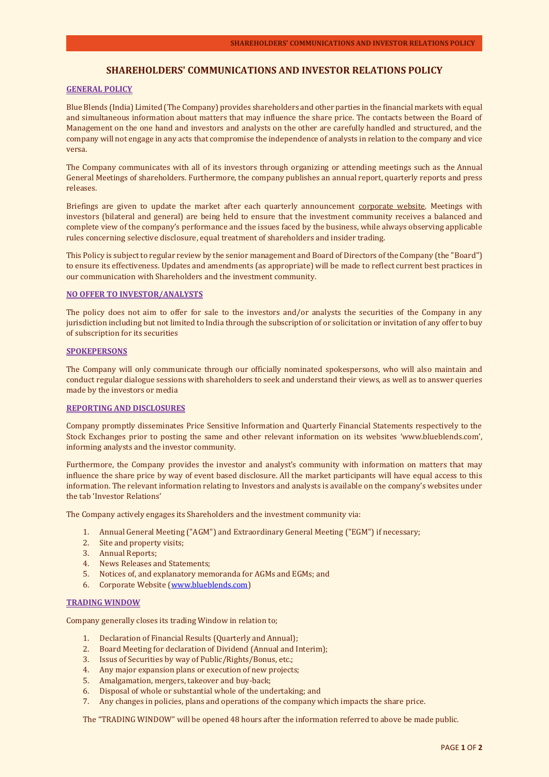# **SHAREHOLDERS' COMMUNICATIONS AND INVESTOR RELATIONS POLICY**

### **GENERAL POLICY**

Blue Blends (India) Limited (The Company) provides shareholders and other parties in the financial markets with equal and simultaneous information about matters that may influence the share price. The contacts between the Board of Management on the one hand and investors and analysts on the other are carefully handled and structured, and the company will not engage in any acts that compromise the independence of analysts in relation to the company and vice versa.

The Company communicates with all of its investors through organizing or attending meetings such as the [Annual](https://www.akzonobel.com/investor_relations/event_calendar/index.aspx)  [General Meetings of shareholders.](https://www.akzonobel.com/investor_relations/event_calendar/index.aspx) Furthermore, the company publishes a[n annual report,](https://www.akzonobel.com/investor_relations/annual_report/index.aspx) [quarterly reports](https://www.akzonobel.com/investor_relations/reports_presentations/index.aspx) and [press](https://www.akzonobel.com/investor_relations/news_and_press_releases/index.aspx)  [releases.](https://www.akzonobel.com/investor_relations/news_and_press_releases/index.aspx)

Briefings are given to update the market after each quarterly announcement [corporate website.](https://www.akzonobel.com/investor_relations/webcasts_videos/index.aspx) Meetings with investors (bilateral and general) are being held to ensure that the investment community receives a balanced and complete view of the company's performance and the issues faced by the business, while always observing applicable rules concerning selective disclosure, equal treatment of shareholders and insider trading.

This Policy is subject to regular review by the senior management and Board of Directors of the Company (the "Board") to ensure its effectiveness. Updates and amendments (as appropriate) will be made to reflect current best practices in our communication with Shareholders and the investment community.

#### **NO OFFER TO INVESTOR/ANALYSTS**

The policy does not aim to offer for sale to the investors and/or analysts the securities of the Company in any jurisdiction including but not limited to India through the subscription of or solicitation or invitation of any offer to buy of subscription for its securities

#### **SPOKEPERSONS**

The Company will only communicate through our officially nominated spokespersons, who will also maintain and conduct regular dialogue sessions with shareholders to seek and understand their views, as well as to answer queries made by the investors or media

#### **REPORTING AND DISCLOSURES**

Company promptly disseminates Price Sensitive Information and Quarterly Financial Statements respectively to the Stock Exchanges prior to posting the same and other relevant information on its websites 'www.blueblends.com', informing analysts and the investor community.

Furthermore, the Company provides the investor and analyst's community with information on matters that may influence the share price by way of event based disclosure. All the market participants will have equal access to this information. The relevant information relating to Investors and analysts is available on the company's websites under the tab 'Investor Relations'

The Company actively engages its Shareholders and the investment community via:

- 1. Annual General Meeting ("AGM") and Extraordinary General Meeting ("EGM") if necessary;
- 2. Site and property visits;
- 3. Annual Reports;
- 4. News Releases and Statements;<br>5. Notices of, and explanatory men
- 5. Notices of, and explanatory memoranda for AGMs and EGMs; and
- 6. Corporate Website [\(www.blueblends.com\)](http://www.blueblends.com/)

#### **TRADING WINDOW**

Company generally closes its trading Window in relation to;

- 1. Declaration of Financial Results (Quarterly and Annual);
- 2. Board Meeting for declaration of Dividend (Annual and Interim);
- 3. Issus of Securities by way of Public/Rights/Bonus, etc.;
- 4. Any major expansion plans or execution of new projects;
- 5. Amalgamation, mergers, takeover and buy-back;
- 6. Disposal of whole or substantial whole of the undertaking; and
- 7. Any changes in policies, plans and operations of the company which impacts the share price.

The "TRADING WINDOW" will be opened 48 hours after the information referred to above be made public.